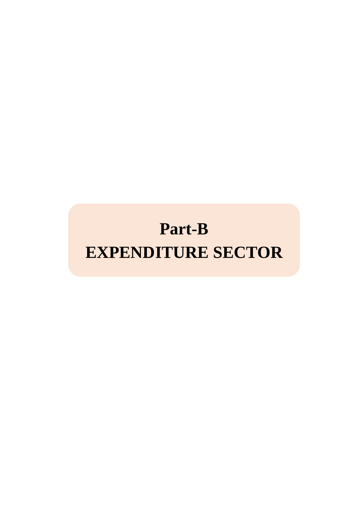# **Part-B EXPENDITURE SECTOR**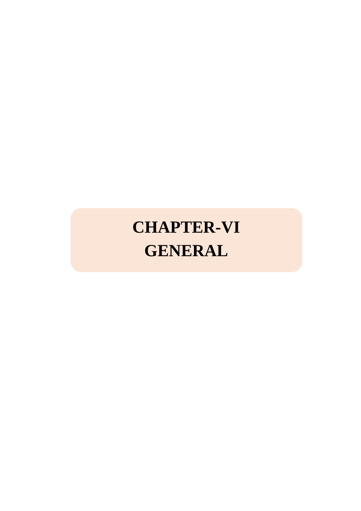# **CHAPTER-VI GENERAL**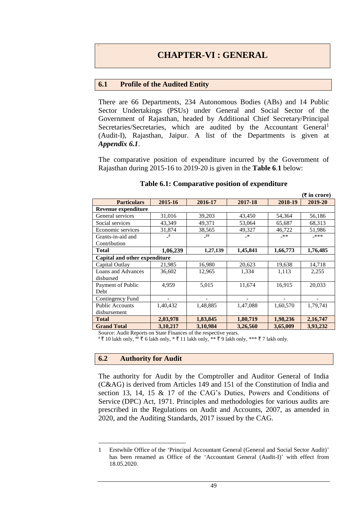### **6.1 Profile of the Audited Entity**

There are 66 Departments, 234 Autonomous Bodies (ABs) and 14 Public Sector Undertakings (PSUs) under General and Social Sector of the Government of Rajasthan, headed by Additional Chief Secretary/Principal Secretaries/Secretaries, which are audited by the Accountant General<sup>1</sup> (Audit-I), Rajasthan, Jaipur. A list of the Departments is given at *Appendix 6.1*.

The comparative position of expenditure incurred by the Government of Rajasthan during 2015-16 to 2019-20 is given in the **Table 6**.**1** below:

|                               |          |          |          |          | (₹ in crore) |
|-------------------------------|----------|----------|----------|----------|--------------|
| <b>Particulars</b>            | 2015-16  | 2016-17  | 2017-18  | 2018-19  | 2019-20      |
| Revenue expenditure           |          |          |          |          |              |
| General services              | 31,016   | 39,203   | 43,450   | 54,364   | 56,186       |
| Social services               | 43,349   | 49,371   | 53,064   | 65,687   | 68,313       |
| Economic services             | 31,874   | 38,565   | 49,327   | 46,722   | 51,986       |
| Grants-in-aid and             | _#       | _##      | $-$ *    | _**      | _***         |
| Contribution                  |          |          |          |          |              |
| Total                         | 1,06,239 | 1,27,139 | 1,45,841 | 1,66,773 | 1,76,485     |
| Capital and other expenditure |          |          |          |          |              |
| Capital Outlay                | 21,985   | 16,980   | 20,623   | 19,638   | 14,718       |
| Loans and Advances            | 36,602   | 12,965   | 1,334    | 1,113    | 2,255        |
| disbursed                     |          |          |          |          |              |
| Payment of Public             | 4,959    | 5,015    | 11,674   | 16,915   | 20,033       |
| <b>Debt</b>                   |          |          |          |          |              |
| Contingency Fund              |          |          |          |          |              |
| <b>Public Accounts</b>        | 1,40,432 | 1,48,885 | 1,47,088 | 1,60,570 | 1,79,741     |
| disbursement                  |          |          |          |          |              |
| <b>Total</b>                  | 2,03,978 | 1,83,845 | 1,80,719 | 1,98,236 | 2, 16, 747   |
| <b>Grand Total</b>            | 3,10,217 | 3,10,984 | 3,26,560 | 3,65,009 | 3,93,232     |

#### **Table 6.1: Comparative position of expenditure**

Source: Audit Reports on State Finances of the respective years.

#₹ 10 lakh only, ## ₹ 6 lakh only, \* ₹ 11 lakh only, \*\* ₹ 9 lakh only, \*\*\* ₹ 7 lakh only.

## **6.2 Authority for Audit**

1

The authority for Audit by the Comptroller and Auditor General of India (C&AG) is derived from Articles 149 and 151 of the Constitution of India and section 13, 14, 15 & 17 of the CAG's Duties, Powers and Conditions of Service (DPC) Act, 1971. Principles and methodologies for various audits are prescribed in the Regulations on Audit and Accounts, 2007, as amended in 2020, and the Auditing Standards, 2017 issued by the CAG.

<sup>1</sup> Erstwhile Office of the 'Principal Accountant General (General and Social Sector Audit)' has been renamed as Office of the 'Accountant General (Audit-I)' with effect from 18.05.2020.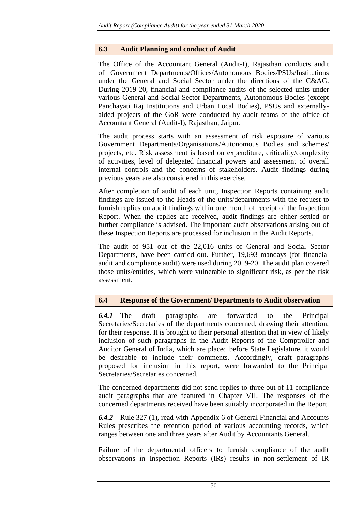## **6.3 Audit Planning and conduct of Audit**

The Office of the Accountant General (Audit-I), Rajasthan conducts audit of Government Departments/Offices/Autonomous Bodies/PSUs/Institutions under the General and Social Sector under the directions of the C&AG. During 2019-20, financial and compliance audits of the selected units under various General and Social Sector Departments, Autonomous Bodies (except Panchayati Raj Institutions and Urban Local Bodies), PSUs and externallyaided projects of the GoR were conducted by audit teams of the office of Accountant General (Audit-I), Rajasthan, Jaipur.

The audit process starts with an assessment of risk exposure of various Government Departments/Organisations/Autonomous Bodies and schemes/ projects, etc. Risk assessment is based on expenditure, criticality/complexity of activities, level of delegated financial powers and assessment of overall internal controls and the concerns of stakeholders. Audit findings during previous years are also considered in this exercise.

After completion of audit of each unit, Inspection Reports containing audit findings are issued to the Heads of the units/departments with the request to furnish replies on audit findings within one month of receipt of the Inspection Report. When the replies are received, audit findings are either settled or further compliance is advised. The important audit observations arising out of these Inspection Reports are processed for inclusion in the Audit Reports.

The audit of 951 out of the 22,016 units of General and Social Sector Departments, have been carried out. Further, 19,693 mandays (for financial audit and compliance audit) were used during 2019-20. The audit plan covered those units/entities, which were vulnerable to significant risk, as per the risk assessment.

# **6.4 Response of the Government/ Departments to Audit observation**

*6.4.1* The draft paragraphs are forwarded to the Principal Secretaries/Secretaries of the departments concerned, drawing their attention, for their response. It is brought to their personal attention that in view of likely inclusion of such paragraphs in the Audit Reports of the Comptroller and Auditor General of India, which are placed before State Legislature, it would be desirable to include their comments. Accordingly, draft paragraphs proposed for inclusion in this report, were forwarded to the Principal Secretaries/Secretaries concerned.

The concerned departments did not send replies to three out of 11 compliance audit paragraphs that are featured in Chapter VII. The responses of the concerned departments received have been suitably incorporated in the Report.

*6.4.2* Rule 327 (1), read with Appendix 6 of General Financial and Accounts Rules prescribes the retention period of various accounting records, which ranges between one and three years after Audit by Accountants General.

Failure of the departmental officers to furnish compliance of the audit observations in Inspection Reports (IRs) results in non-settlement of IR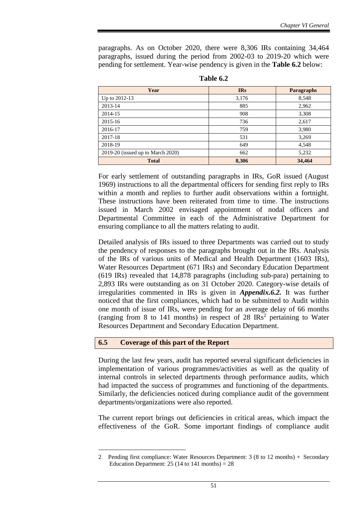paragraphs. As on October 2020, there were 8,306 IRs containing 34,464 paragraphs, issued during the period from 2002-03 to 2019-20 which were pending for settlement. Year-wise pendency is given in the **Table 6.2** below:

| Year                              | <b>IRs</b> | <b>Paragraphs</b> |
|-----------------------------------|------------|-------------------|
| Up to 2012-13                     | 3,176      | 8,548             |
| 2013-14                           | 885        | 2,962             |
| 2014-15                           | 908        | 3,308             |
| 2015-16                           | 736        | 2,617             |
| 2016-17                           | 759        | 3,980             |
| 2017-18                           | 531        | 3,269             |
| 2018-19                           | 649        | 4,548             |
| 2019-20 (issued up to March 2020) | 662        | 5,232             |
| <b>Total</b>                      | 8,306      | 34,464            |

**Table 6.2**

For early settlement of outstanding paragraphs in IRs, GoR issued (August 1969) instructions to all the departmental officers for sending first reply to IRs within a month and replies to further audit observations within a fortnight. These instructions have been reiterated from time to time. The instructions issued in March 2002 envisaged appointment of nodal officers and Departmental Committee in each of the Administrative Department for ensuring compliance to all the matters relating to audit.

Detailed analysis of IRs issued to three Departments was carried out to study the pendency of responses to the paragraphs brought out in the IRs. Analysis of the IRs of various units of Medical and Health Department (1603 IRs), Water Resources Department (671 IRs) and Secondary Education Department (619 IRs) revealed that 14,878 paragraphs (including sub-para) pertaining to 2,893 IRs were outstanding as on 31 October 2020. Category-wise details of irregularities commented in IRs is given in *Appendix.6.2.* It was further noticed that the first compliances, which had to be submitted to Audit within one month of issue of IRs, were pending for an average delay of 66 months (ranging from 8 to 141 months) in respect of 28  $\text{IRs}^2$  pertaining to Water Resources Department and Secondary Education Department.

### **6.5 Coverage of this part of the Report**

1

During the last few years, audit has reported several significant deficiencies in implementation of various programmes/activities as well as the quality of internal controls in selected departments through performance audits, which had impacted the success of programmes and functioning of the departments. Similarly, the deficiencies noticed during compliance audit of the government departments/organizations were also reported.

The current report brings out deficiencies in critical areas, which impact the effectiveness of the GoR. Some important findings of compliance audit

<sup>2</sup> Pending first compliance: Water Resources Department: 3 (8 to 12 months) + Secondary Education Department:  $25(14 \text{ to } 141 \text{ months}) = 28$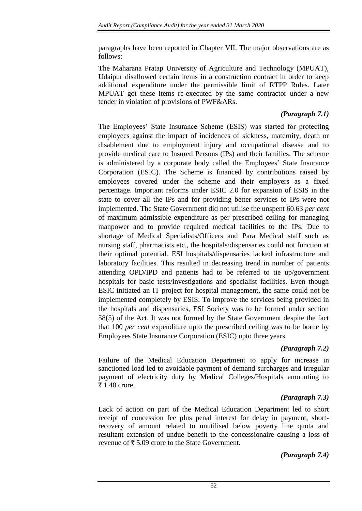paragraphs have been reported in Chapter VII. The major observations are as follows:

The Maharana Pratap University of Agriculture and Technology (MPUAT), Udaipur disallowed certain items in a construction contract in order to keep additional expenditure under the permissible limit of RTPP Rules. Later MPUAT got these items re-executed by the same contractor under a new tender in violation of provisions of PWF&ARs.

# *(Paragraph 7.1)*

The Employees' State Insurance Scheme (ESIS) was started for protecting employees against the impact of incidences of sickness, maternity, death or disablement due to employment injury and occupational disease and to provide medical care to Insured Persons (IPs) and their families. The scheme is administered by a corporate body called the Employees' State Insurance Corporation (ESIC). The Scheme is financed by contributions raised by employees covered under the scheme and their employers as a fixed percentage. Important reforms under ESIC 2.0 for expansion of ESIS in the state to cover all the IPs and for providing better services to IPs were not implemented. The State Government did not utilise the unspent 60.63 *per cent* of maximum admissible expenditure as per prescribed ceiling for managing manpower and to provide required medical facilities to the IPs. Due to shortage of Medical Specialists/Officers and Para Medical staff such as nursing staff, pharmacists etc., the hospitals/dispensaries could not function at their optimal potential. ESI hospitals/dispensaries lacked infrastructure and laboratory facilities. This resulted in decreasing trend in number of patients attending OPD/IPD and patients had to be referred to tie up/government hospitals for basic tests/investigations and specialist facilities. Even though ESIC initiated an IT project for hospital management, the same could not be implemented completely by ESIS. To improve the services being provided in the hospitals and dispensaries, ESI Society was to be formed under section 58(5) of the Act. It was not formed by the State Government despite the fact that 100 *per cent* expenditure upto the prescribed ceiling was to be borne by Employees State Insurance Corporation (ESIC) upto three years.

# *(Paragraph 7.2)*

Failure of the Medical Education Department to apply for increase in sanctioned load led to avoidable payment of demand surcharges and irregular payment of electricity duty by Medical Colleges/Hospitals amounting to ₹ 1.40 crore.

# *(Paragraph 7.3)*

Lack of action on part of the Medical Education Department led to short receipt of concession fee plus penal interest for delay in payment, shortrecovery of amount related to unutilised below poverty line quota and resultant extension of undue benefit to the concessionaire causing a loss of revenue of  $\bar{\tau}$  5.09 crore to the State Government.

# *(Paragraph 7.4)*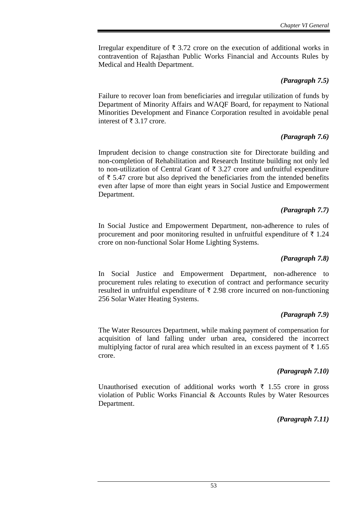Irregular expenditure of  $\bar{\tau}$  3.72 crore on the execution of additional works in contravention of Rajasthan Public Works Financial and Accounts Rules by Medical and Health Department.

## *(Paragraph 7.5)*

Failure to recover loan from beneficiaries and irregular utilization of funds by Department of Minority Affairs and WAQF Board, for repayment to National Minorities Development and Finance Corporation resulted in avoidable penal interest of  $\bar{\tau}$  3.17 crore.

## *(Paragraph 7.6)*

Imprudent decision to change construction site for Directorate building and non-completion of Rehabilitation and Research Institute building not only led to non-utilization of Central Grant of  $\bar{\tau}$  3.27 crore and unfruitful expenditure of  $\bar{\tau}$  5.47 crore but also deprived the beneficiaries from the intended benefits even after lapse of more than eight years in Social Justice and Empowerment Department.

## *(Paragraph 7.7)*

In Social Justice and Empowerment Department, non-adherence to rules of procurement and poor monitoring resulted in unfruitful expenditure of  $\bar{\tau}$  1.24 crore on non-functional Solar Home Lighting Systems.

## *(Paragraph 7.8)*

In Social Justice and Empowerment Department, non-adherence to procurement rules relating to execution of contract and performance security resulted in unfruitful expenditure of  $\bar{\tau}$  2.98 crore incurred on non-functioning 256 Solar Water Heating Systems.

## *(Paragraph 7.9)*

The Water Resources Department, while making payment of compensation for acquisition of land falling under urban area, considered the incorrect multiplying factor of rural area which resulted in an excess payment of  $\bar{\tau}$  1.65 crore.

## *(Paragraph 7.10)*

Unauthorised execution of additional works worth  $\bar{\tau}$  1.55 crore in gross violation of Public Works Financial & Accounts Rules by Water Resources Department.

*(Paragraph 7.11)*